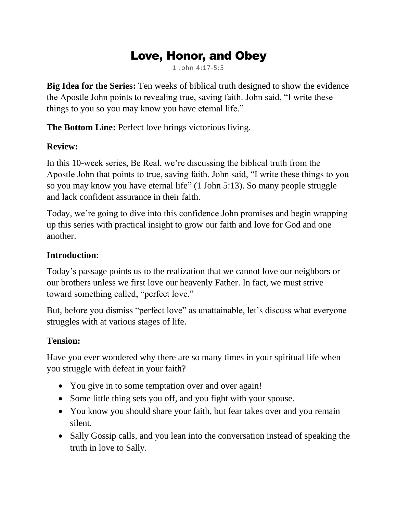# Love, Honor, and Obey

1 John 4:17-5:5

**Big Idea for the Series:** Ten weeks of biblical truth designed to show the evidence the Apostle John points to revealing true, saving faith. John said, "I write these things to you so you may know you have eternal life."

**The Bottom Line:** Perfect love brings victorious living.

#### **Review:**

In this 10-week series, Be Real, we're discussing the biblical truth from the Apostle John that points to true, saving faith. John said, "I write these things to you so you may know you have eternal life" (1 John 5:13). So many people struggle and lack confident assurance in their faith.

Today, we're going to dive into this confidence John promises and begin wrapping up this series with practical insight to grow our faith and love for God and one another.

#### **Introduction:**

Today's passage points us to the realization that we cannot love our neighbors or our brothers unless we first love our heavenly Father. In fact, we must strive toward something called, "perfect love."

But, before you dismiss "perfect love" as unattainable, let's discuss what everyone struggles with at various stages of life.

#### **Tension:**

Have you ever wondered why there are so many times in your spiritual life when you struggle with defeat in your faith?

- You give in to some temptation over and over again!
- Some little thing sets you off, and you fight with your spouse.
- You know you should share your faith, but fear takes over and you remain silent.
- Sally Gossip calls, and you lean into the conversation instead of speaking the truth in love to Sally.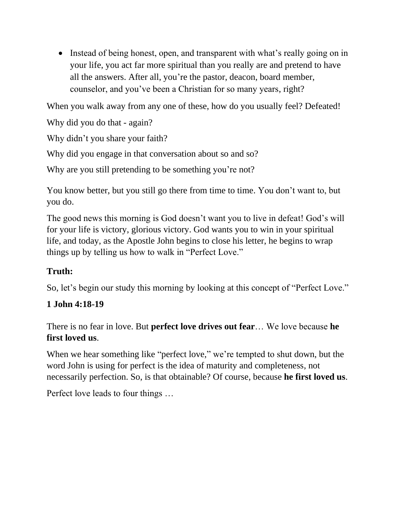• Instead of being honest, open, and transparent with what's really going on in your life, you act far more spiritual than you really are and pretend to have all the answers. After all, you're the pastor, deacon, board member, counselor, and you've been a Christian for so many years, right?

When you walk away from any one of these, how do you usually feel? Defeated!

Why did you do that - again?

Why didn't you share your faith?

Why did you engage in that conversation about so and so?

Why are you still pretending to be something you're not?

You know better, but you still go there from time to time. You don't want to, but you do.

The good news this morning is God doesn't want you to live in defeat! God's will for your life is victory, glorious victory. God wants you to win in your spiritual life, and today, as the Apostle John begins to close his letter, he begins to wrap things up by telling us how to walk in "Perfect Love."

### **Truth:**

So, let's begin our study this morning by looking at this concept of "Perfect Love."

#### **1 John 4:18-19**

There is no fear in love. But **perfect love drives out fear**… We love because **he first loved us**.

When we hear something like "perfect love," we're tempted to shut down, but the word John is using for perfect is the idea of maturity and completeness, not necessarily perfection. So, is that obtainable? Of course, because **he first loved us**.

Perfect love leads to four things …